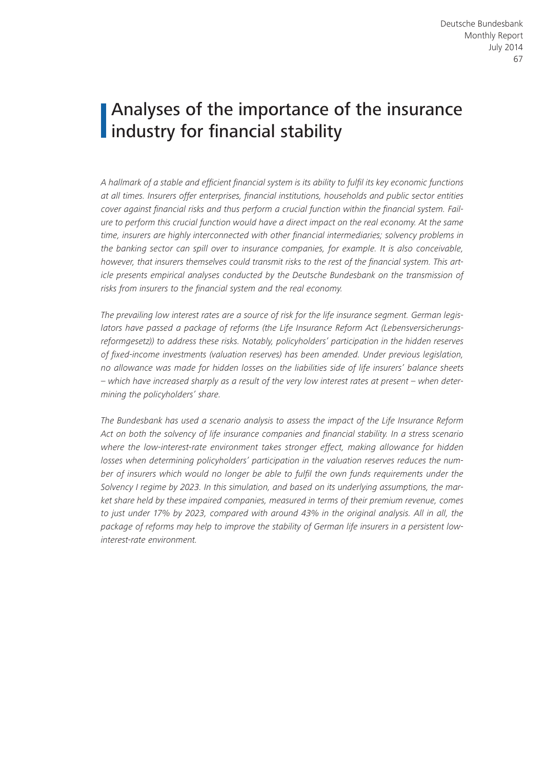# Analyses of the importance of the insurance I industry for financial stability

*A hallmark of a stable and efficient financial system is its ability to fulfil its key economic functions at all times. Insurers offer enterprises, financial institutions, households and public sector entities cover against financial risks and thus perform a crucial function within the financial system. Failure to perform this crucial function would have a direct impact on the real economy. At the same time, insurers are highly interconnected with other financial intermediaries; solvency problems in the banking sector can spill over to insurance companies, for example. It is also conceivable, however, that insurers themselves could transmit risks to the rest of the financial system. This article presents empirical analyses conducted by the Deutsche Bundesbank on the transmission of risks from insurers to the financial system and the real economy.*

*The prevailing low interest rates are a source of risk for the life insurance segment. German legislators have passed a package of reforms (the Life Insurance Reform Act (Lebensversicherungsreformgesetz)) to address these risks. Notably, policyholders' participation in the hidden reserves of fixed-income investments (valuation reserves) has been amended. Under previous legislation, no allowance was made for hidden losses on the liabilities side of life insurers' balance sheets – which have increased sharply as a result of the very low interest rates at present – when determining the policyholders' share.*

*The Bundesbank has used a scenario analysis to assess the impact of the Life Insurance Reform Act on both the solvency of life insurance companies and financial stability. In a stress scenario where the low-interest-rate environment takes stronger effect, making allowance for hidden losses when determining policyholders' participation in the valuation reserves reduces the number of insurers which would no longer be able to fulfil the own funds requirements under the Solvency I regime by 2023. In this simulation, and based on its underlying assumptions, the market share held by these impaired companies, measured in terms of their premium revenue, comes to just under 17% by 2023, compared with around 43% in the original analysis. All in all, the package of reforms may help to improve the stability of German life insurers in a persistent lowinterest-rate environment.*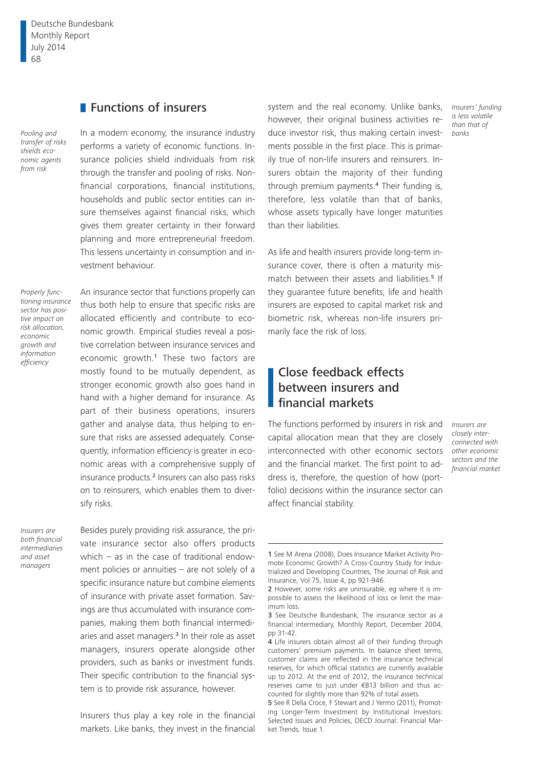Deutsche Bundesbank Monthly Report July 2014 68

## **Functions of insurers**

*Pooling and transfer of risks shields economic agents from risk*

In a modern economy, the insurance industry performs a variety of economic functions. Insurance policies shield individuals from risk through the transfer and pooling of risks. Nonfinancial corporations, financial institutions, households and public sector entities can insure themselves against financial risks, which gives them greater certainty in their forward planning and more entrepreneurial freedom. This lessens uncertainty in consumption and investment behaviour.

*Properly functioning insurance sector has positive impact on risk allocation, economic growth and information efficiency*

An insurance sector that functions properly can thus both help to ensure that specific risks are allocated efficiently and contribute to economic growth. Empirical studies reveal a positive correlation between insurance services and economic growth.1 These two factors are mostly found to be mutually dependent, as stronger economic growth also goes hand in hand with a higher demand for insurance. As part of their business operations, insurers gather and analyse data, thus helping to ensure that risks are assessed adequately. Consequently, information efficiency is greater in economic areas with a comprehensive supply of insurance products.2 Insurers can also pass risks on to reinsurers, which enables them to diversify risks.

*Insurers are both financial intermediaries and asset managers*

Besides purely providing risk assurance, the private insurance sector also offers products which – as in the case of traditional endowment policies or annuities – are not solely of a specific insurance nature but combine elements of insurance with private asset formation. Savings are thus accumulated with insurance companies, making them both financial intermediaries and asset managers.3 In their role as asset managers, insurers operate alongside other providers, such as banks or investment funds. Their specific contribution to the financial system is to provide risk assurance, however.

Insurers thus play a key role in the financial markets. Like banks, they invest in the financial

system and the real economy. Unlike banks, however, their original business activities reduce investor risk, thus making certain investments possible in the first place. This is primarily true of non-life insurers and reinsurers. Insurers obtain the majority of their funding through premium payments.4 Their funding is, therefore, less volatile than that of banks, whose assets typically have longer maturities than their liabilities.

As life and health insurers provide long-term insurance cover, there is often a maturity mismatch between their assets and liabilities.<sup>5</sup> If they guarantee future benefits, life and health insurers are exposed to capital market risk and biometric risk, whereas non-life insurers primarily face the risk of loss.

## Close feedback effects between insurers and financial markets

The functions performed by insurers in risk and *Insurers are*  capital allocation mean that they are closely interconnected with other economic sectors and the financial market. The first point to address is, therefore, the question of how (portfolio) decisions within the insurance sector can affect financial stability.

*Insurers' funding is less volatile than that of banks*

*closely interconnected with other economic sectors and the financial market*

<sup>1</sup> See M Arena (2008), Does Insurance Market Activity Promote Economic Growth? A Cross-Country Study for Industrialized and Developing Countries, The Journal of Risk and Insurance, Vol 75, Issue 4, pp 921-946.

<sup>2</sup> However, some risks are uninsurable, eg where it is impossible to assess the likelihood of loss or limit the maximum loss.

<sup>3</sup> See Deutsche Bundesbank, The insurance sector as a financial intermediary, Monthly Report, December 2004, pp 31-42.

<sup>4</sup> Life insurers obtain almost all of their funding through customers' premium payments. In balance sheet terms, customer claims are reflected in the insurance technical reserves, for which official statistics are currently available up to 2012. At the end of 2012, the insurance technical reserves came to just under €813 billion and thus accounted for slightly more than 92% of total assets.

<sup>5</sup> See R Della Croce, F Stewart and J Yermo (2011), Promoting Longer-Term Investment by Institutional Investors: Selected Issues and Policies, OECD Journal: Financial Market Trends, Issue 1.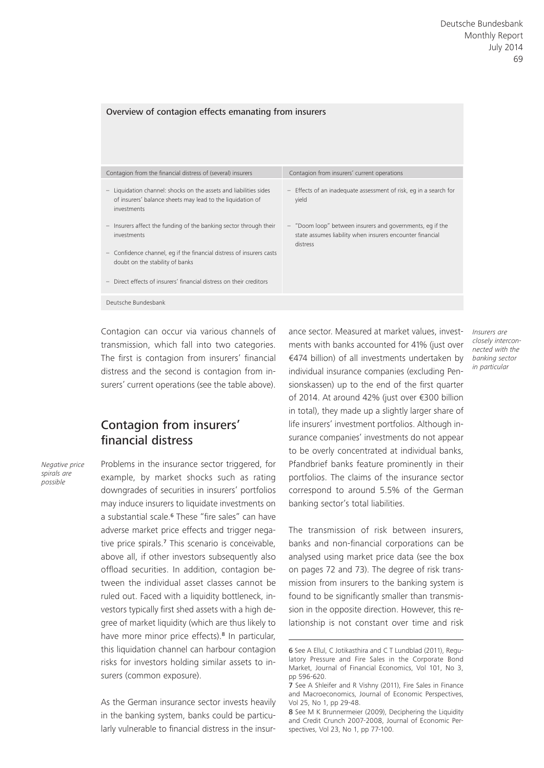| Contagion from the financial distress of (several) insurers                                                                                                              | Contagion from insurers' current operations                                                                                        |
|--------------------------------------------------------------------------------------------------------------------------------------------------------------------------|------------------------------------------------------------------------------------------------------------------------------------|
| Liquidation channel: shocks on the assets and liabilities sides<br>$\overline{\phantom{m}}$<br>of insurers' balance sheets may lead to the liquidation of<br>investments | - Effects of an inadequate assessment of risk, eq in a search for<br>yield                                                         |
| Insurers affect the funding of the banking sector through their<br>$\overline{\phantom{a}}$<br>investments                                                               | - "Doom loop" between insurers and governments, eg if the<br>state assumes liability when insurers encounter financial<br>distress |
| Confidence channel, eq if the financial distress of insurers casts<br>$\overline{\phantom{m}}$<br>doubt on the stability of banks                                        |                                                                                                                                    |
| Direct effects of insurers' financial distress on their creditors                                                                                                        |                                                                                                                                    |
| Deutsche Bundesbank                                                                                                                                                      |                                                                                                                                    |

Contagion can occur via various channels of transmission, which fall into two categories. The first is contagion from insurers' financial distress and the second is contagion from insurers' current operations (see the table above).

Overview of contagion effects emanating from insurers

### Contagion from insurers' financial distress

*Negative price spirals are possible*

Problems in the insurance sector triggered, for example, by market shocks such as rating downgrades of securities in insurers' portfolios may induce insurers to liquidate investments on a substantial scale.6 These "fire sales" can have adverse market price effects and trigger negative price spirals.7 This scenario is conceivable, above all, if other investors subsequently also offload securities. In addition, contagion between the individual asset classes cannot be ruled out. Faced with a liquidity bottleneck, investors typically first shed assets with a high degree of market liquidity (which are thus likely to have more minor price effects).<sup>8</sup> In particular, this liquidation channel can harbour contagion risks for investors holding similar assets to insurers (common exposure).

As the German insurance sector invests heavily in the banking system, banks could be particularly vulnerable to financial distress in the insurance sector. Measured at market values, investments with banks accounted for 41% (just over €474 billion) of all investments undertaken by individual insurance companies (excluding Pensionskassen) up to the end of the first quarter of 2014. At around 42% (just over €300 billion in total), they made up a slightly larger share of life insurers' investment portfolios. Although insurance companies' investments do not appear to be overly concentrated at individual banks, Pfandbrief banks feature prominently in their portfolios. The claims of the insurance sector correspond to around 5.5% of the German banking sector's total liabilities.

The transmission of risk between insurers, banks and non-financial corporations can be analysed using market price data (see the box on pages 72 and 73). The degree of risk transmission from insurers to the banking system is found to be significantly smaller than transmission in the opposite direction. However, this relationship is not constant over time and risk *Insurers are closely interconnected with the banking sector in particular*

<sup>6</sup> See A Ellul, C Jotikasthira and C T Lundblad (2011), Regulatory Pressure and Fire Sales in the Corporate Bond Market, Journal of Financial Economics, Vol 101, No 3, pp 596-620.

<sup>7</sup> See A Shleifer and R Vishny (2011), Fire Sales in Finance and Macroeconomics, Journal of Economic Perspectives, Vol 25, No 1, pp 29-48.

<sup>8</sup> See M K Brunnermeier (2009), Deciphering the Liquidity and Credit Crunch 2007-2008, Journal of Economic Perspectives, Vol 23, No 1, pp 77-100.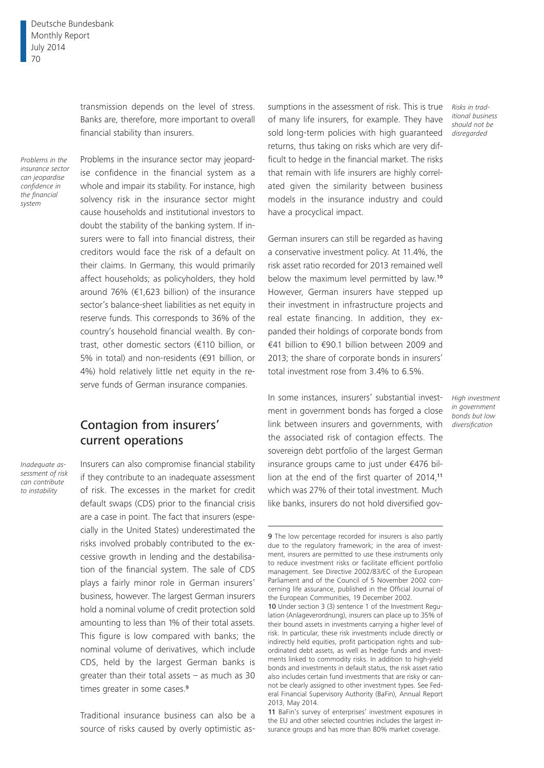transmission depends on the level of stress. Banks are, therefore, more important to overall financial stability than insurers.

*Problems in the insurance sector can jeopardise confidence in the financial system*

Problems in the insurance sector may jeopardise confidence in the financial system as a whole and impair its stability. For instance, high solvency risk in the insurance sector might cause households and institutional investors to doubt the stability of the banking system. If insurers were to fall into financial distress, their creditors would face the risk of a default on their claims. In Germany, this would primarily affect households; as policyholders, they hold around 76% (€1,623 billion) of the insurance sector's balance-sheet liabilities as net equity in reserve funds. This corresponds to 36% of the country's household financial wealth. By contrast, other domestic sectors (€110 billion, or 5% in total) and non-residents (€91 billion, or 4%) hold relatively little net equity in the reserve funds of German insurance companies.

#### Contagion from insurers' current operations

*Inadequate assessment of risk can contribute to instability*

Insurers can also compromise financial stability if they contribute to an inadequate assessment of risk. The excesses in the market for credit default swaps (CDS) prior to the financial crisis are a case in point. The fact that insurers (especially in the United States) underestimated the risks involved probably contributed to the excessive growth in lending and the destabilisation of the financial system. The sale of CDS plays a fairly minor role in German insurers' business, however. The largest German insurers hold a nominal volume of credit protection sold amounting to less than 1% of their total assets. This figure is low compared with banks; the nominal volume of derivatives, which include CDS, held by the largest German banks is greater than their total assets – as much as 30 times greater in some cases.<sup>9</sup>

Traditional insurance business can also be a source of risks caused by overly optimistic as-

sumptions in the assessment of risk. This is true of many life insurers, for example. They have sold long-term policies with high guaranteed returns, thus taking on risks which are very difficult to hedge in the financial market. The risks that remain with life insurers are highly correlated given the similarity between business models in the insurance industry and could have a procyclical impact.

German insurers can still be regarded as having a conservative investment policy. At 11.4%, the risk asset ratio recorded for 2013 remained well below the maximum level permitted by law.<sup>10</sup> However, German insurers have stepped up their investment in infrastructure projects and real estate financing. In addition, they expanded their holdings of corporate bonds from €41 billion to €90.1 billion between 2009 and 2013; the share of corporate bonds in insurers' total investment rose from 3.4% to 6.5%.

In some instances, insurers' substantial investment in government bonds has forged a close link between insurers and governments, with the associated risk of contagion effects. The sovereign debt portfolio of the largest German insurance groups came to just under €476 billion at the end of the first quarter of 2014.<sup>11</sup> which was 27% of their total investment. Much like banks, insurers do not hold diversified gov*Risks in traditional business should not be disregarded*

*High investment in government bonds but low diversification*

<sup>9</sup> The low percentage recorded for insurers is also partly due to the regulatory framework; in the area of investment, insurers are permitted to use these instruments only to reduce investment risks or facilitate efficient portfolio management. See Directive 2002/83/EC of the European Parliament and of the Council of 5 November 2002 concerning life assurance, published in the Official Journal of the European Communities, 19 December 2002.

<sup>10</sup> Under section 3 (3) sentence 1 of the Investment Regulation (Anlageverordnung), insurers can place up to 35% of their bound assets in investments carrying a higher level of risk. In particular, these risk investments include directly or indirectly held equities, profit participation rights and subordinated debt assets, as well as hedge funds and investments linked to commodity risks. In addition to high-yield bonds and investments in default status, the risk asset ratio also includes certain fund investments that are risky or cannot be clearly assigned to other investment types. See Federal Financial Supervisory Authority (BaFin), Annual Report 2013, May 2014.

<sup>11</sup> BaFin's survey of enterprises' investment exposures in the EU and other selected countries includes the largest insurance groups and has more than 80% market coverage.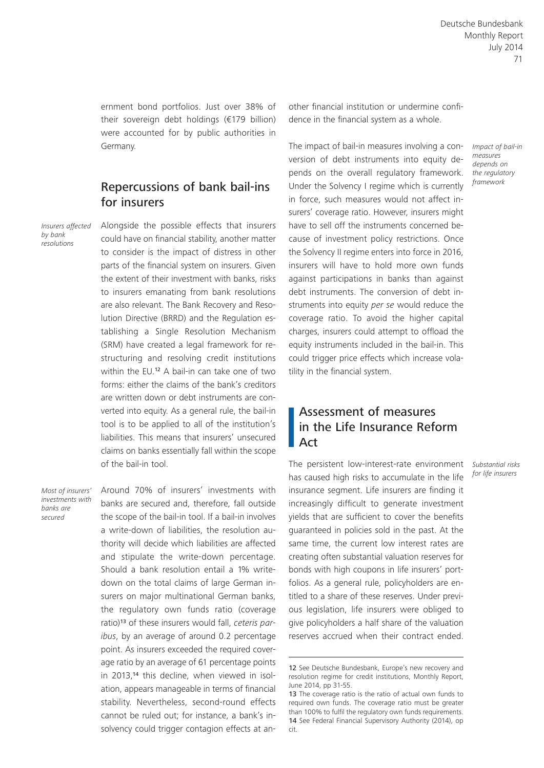ernment bond portfolios. Just over 38% of their sovereign debt holdings (€179 billion) were accounted for by public authorities in Germany.

#### Repercussions of bank bail-ins for insurers

*Insurers affected by bank resolutions*

Alongside the possible effects that insurers could have on financial stability, another matter to consider is the impact of distress in other parts of the financial system on insurers. Given the extent of their investment with banks, risks to insurers emanating from bank resolutions are also relevant. The Bank Recovery and Resolution Directive (BRRD) and the Regulation establishing a Single Resolution Mechanism (SRM) have created a legal framework for restructuring and resolving credit institutions within the EU.12 A bail-in can take one of two forms: either the claims of the bank's creditors are written down or debt instruments are converted into equity. As a general rule, the bail-in tool is to be applied to all of the institution's liabilities. This means that insurers' unsecured claims on banks essentially fall within the scope of the bail-in tool.

*Most of insurers' investments with banks are secured*

Around 70% of insurers' investments with banks are secured and, therefore, fall outside the scope of the bail-in tool. If a bail-in involves a write-down of liabilities, the resolution authority will decide which liabilities are affected and stipulate the write-down percentage. Should a bank resolution entail a 1% writedown on the total claims of large German insurers on major multinational German banks, the regulatory own funds ratio (coverage ratio)13 of these insurers would fall, *ceteris paribus*, by an average of around 0.2 percentage point. As insurers exceeded the required coverage ratio by an average of 61 percentage points in 2013,14 this decline, when viewed in isolation, appears manageable in terms of financial stability. Nevertheless, second-round effects cannot be ruled out; for instance, a bank's insolvency could trigger contagion effects at another financial institution or undermine confidence in the financial system as a whole.

The impact of bail-in measures involving a conversion of debt instruments into equity depends on the overall regulatory framework. Under the Solvency I regime which is currently in force, such measures would not affect insurers' coverage ratio. However, insurers might have to sell off the instruments concerned because of investment policy restrictions. Once the Solvency II regime enters into force in 2016, insurers will have to hold more own funds against participations in banks than against debt instruments. The conversion of debt instruments into equity *per se* would reduce the coverage ratio. To avoid the higher capital charges, insurers could attempt to offload the equity instruments included in the bail-in. This could trigger price effects which increase volatility in the financial system.

#### Assessment of measures in the Life Insurance Reform Act

The persistent low-interest-rate environment *Substantial risks*  has caused high risks to accumulate in the life insurance segment. Life insurers are finding it increasingly difficult to generate investment yields that are sufficient to cover the benefits guaranteed in policies sold in the past. At the same time, the current low interest rates are creating often substantial valuation reserves for bonds with high coupons in life insurers' portfolios. As a general rule, policyholders are entitled to a share of these reserves. Under previous legislation, life insurers were obliged to give policyholders a half share of the valuation reserves accrued when their contract ended.

*for life insurers*

*Impact of bail-in measures depends on the regulatory framework*

<sup>12</sup> See Deutsche Bundesbank, Europe's new recovery and resolution regime for credit institutions, Monthly Report, June 2014, pp 31-55.

<sup>13</sup> The coverage ratio is the ratio of actual own funds to required own funds. The coverage ratio must be greater than 100% to fulfil the regulatory own funds requirements. 14 See Federal Financial Supervisory Authority (2014), op cit.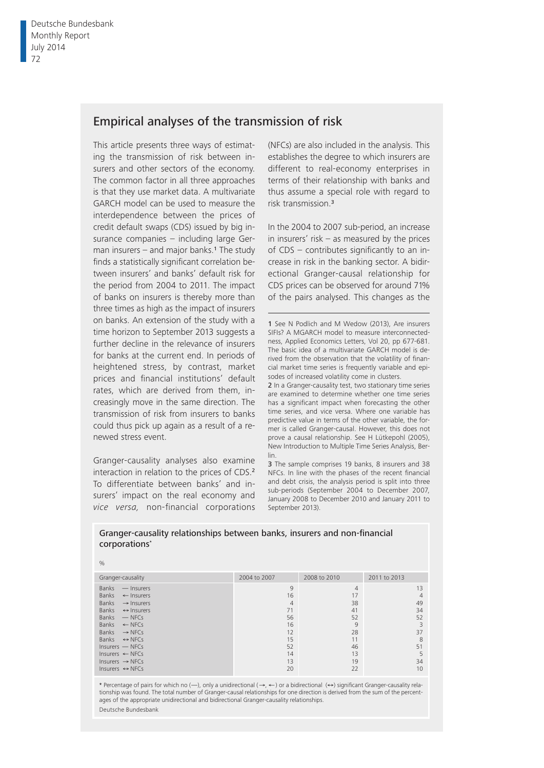## Empirical analyses of the transmission of risk

This article presents three ways of estimating the transmission of risk between insurers and other sectors of the economy. The common factor in all three approaches is that they use market data. A multivariate GARCH model can be used to measure the interdependence between the prices of credit default swaps (CDS) issued by big insurance companies – including large German insurers  $-$  and major banks.<sup>1</sup> The study finds a statistically significant correlation between insurers' and banks' default risk for the period from 2004 to 2011. The impact of banks on insurers is thereby more than three times as high as the impact of insurers on banks. An extension of the study with a time horizon to September 2013 suggests a further decline in the relevance of insurers for banks at the current end. In periods of heightened stress, by contrast, market prices and financial institutions' default rates, which are derived from them, increasingly move in the same direction. The transmission of risk from insurers to banks could thus pick up again as a result of a renewed stress event.

Granger- causality analyses also examine interaction in relation to the prices of CDS.<sup>2</sup> To differentiate between banks' and insurers' impact on the real economy and *vice versa*, non-financial corporations (NFCs) are also included in the analysis. This establishes the degree to which insurers are different to real-economy enterprises in terms of their relationship with banks and thus assume a special role with regard to risk transmission.<sup>3</sup>

In the 2004 to 2007 sub-period, an increase in insurers' risk  $-$  as measured by the prices of  $CDS$  – contributes significantly to an increase in risk in the banking sector. A bidirectional Granger-causal relationship for CDS prices can be observed for around 71% of the pairs analysed. This changes as the

1 See N Podlich and M Wedow (2013), Are insurers SIFIs? A MGARCH model to measure interconnectedness, Applied Economics Letters, Vol 20, pp 677-681. The basic idea of a multivariate GARCH model is derived from the observation that the volatility of financial market time series is frequently variable and episodes of increased volatility come in clusters.

2 In a Granger-causality test, two stationary time series are examined to determine whether one time series has a significant impact when forecasting the other time series, and vice versa. Where one variable has predictive value in terms of the other variable, the former is called Granger-causal. However, this does not prove a causal relationship. See H Lütkepohl (2005), New Introduction to Multiple Time Series Analysis, Berlin.

3 The sample comprises 19 banks, 8 insurers and 38 NFCs. In line with the phases of the recent financial and debt crisis, the analysis period is split into three sub- periods (September 2004 to December 2007, January 2008 to December 2010 and January 2011 to September 2013).

Granger-causality relationships between banks, insurers and non-financial corporations\*

%

| Granger-causality                                                                                                                                                                                                                                                                                                                                                               | 2004 to 2007                                                                    | 2008 to 2010                                                                    | 2011 to 2013                                                     |
|---------------------------------------------------------------------------------------------------------------------------------------------------------------------------------------------------------------------------------------------------------------------------------------------------------------------------------------------------------------------------------|---------------------------------------------------------------------------------|---------------------------------------------------------------------------------|------------------------------------------------------------------|
| <b>Banks</b><br>- Insurers<br>Banks<br>$\leftarrow$ Insurers<br>Banks<br>$\rightarrow$ Insurers<br>Banks<br>$\leftrightarrow$ Insurers<br>Banks<br>$-$ NFCs<br>Banks<br>$\leftarrow$ NFCs<br>Banks<br>$\rightarrow$ NFCs<br>Banks $\leftrightarrow$ NFCs<br>$Insurers$ $-$ NFCs<br>Insurers $\leftarrow$ NFCs<br>Insurers $\rightarrow$ NFCs<br>Insurers $\leftrightarrow$ NFCs | 9<br>16<br>$\overline{4}$<br>71<br>56<br>16<br>12<br>15<br>52<br>14<br>13<br>20 | $\overline{4}$<br>17<br>38<br>41<br>52<br>9<br>28<br>11<br>46<br>13<br>19<br>22 | 13<br>4<br>49<br>34<br>52<br>3<br>37<br>8<br>51<br>5<br>34<br>10 |
|                                                                                                                                                                                                                                                                                                                                                                                 |                                                                                 |                                                                                 |                                                                  |

\* Percentage of pairs for which no (-), only a unidirectional (->, <- ) or a bidirectional (<->) significant Granger-causality relationship was found. The total number of Granger-causal relationships for one direction is derived from the sum of the percentages of the appropriate unidirectional and bidirectional Granger-causality relationships.

Deutsche Bundesbank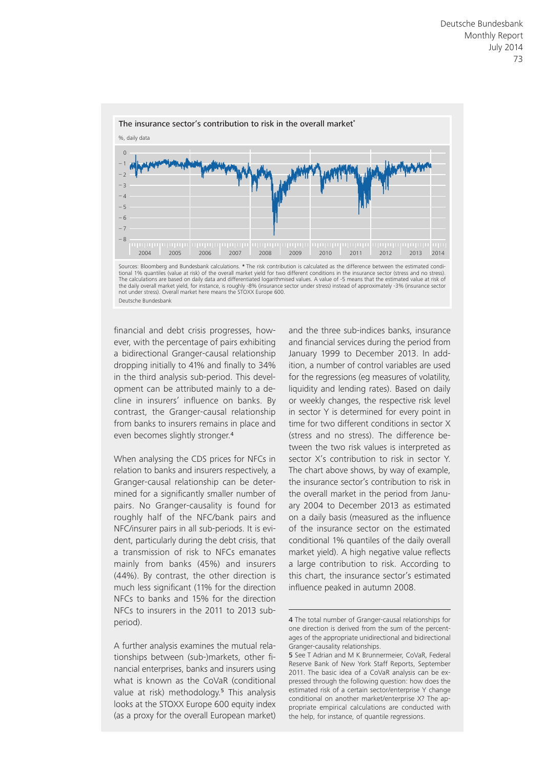



financial and debt crisis progresses, however, with the percentage of pairs exhibiting a bidirectional Granger-causal relationship dropping initially to 41% and finally to 34% in the third analysis sub-period. This development can be attributed mainly to a decline in insurers' influence on banks. By contrast, the Granger-causal relationship from banks to insurers remains in place and even becomes slightly stronger.<sup>4</sup>

When analysing the CDS prices for NFCs in relation to banks and insurers respectively, a Granger-causal relationship can be determined for a significantly smaller number of pairs. No Granger-causality is found for roughly half of the NFC/bank pairs and NFC/insurer pairs in all sub-periods. It is evident, particularly during the debt crisis, that a transmission of risk to NFCs emanates mainly from banks (45%) and insurers (44%). By contrast, the other direction is much less significant (11% for the direction NFCs to banks and 15% for the direction NFCs to insurers in the 2011 to 2013 subperiod).

A further analysis examines the mutual relationships between (sub-)markets, other financial enterprises, banks and insurers using what is known as the CoVaR (conditional value at risk) methodology.<sup>5</sup> This analysis looks at the STOXX Europe 600 equity index (as a proxy for the overall European market)

and the three sub-indices banks, insurance and financial services during the period from January 1999 to December 2013. In addition, a number of control variables are used for the regressions (eg measures of volatility, liquidity and lending rates). Based on daily or weekly changes, the respective risk level in sector Y is determined for every point in time for two different conditions in sector X (stress and no stress). The difference between the two risk values is interpreted as sector X's contribution to risk in sector Y. The chart above shows, by way of example, the insurance sector's contribution to risk in the overall market in the period from January 2004 to December 2013 as estimated on a daily basis (measured as the influence of the insurance sector on the estimated conditional 1% quantiles of the daily overall market yield). A high negative value reflects a large contribution to risk. According to this chart, the insurance sector's estimated influence peaked in autumn 2008.

<sup>4</sup> The total number of Granger-causal relationships for one direction is derived from the sum of the percentages of the appropriate unidirectional and bidirectional Granger-causality relationships.

<sup>5</sup> See T Adrian and M K Brunnermeier, CoVaR, Federal Reserve Bank of New York Staff Reports, September 2011. The basic idea of a CoVaR analysis can be expressed through the following question: how does the estimated risk of a certain sector/enterprise Y change conditional on another market/enterprise X? The appropriate empirical calculations are conducted with the help, for instance, of quantile regressions.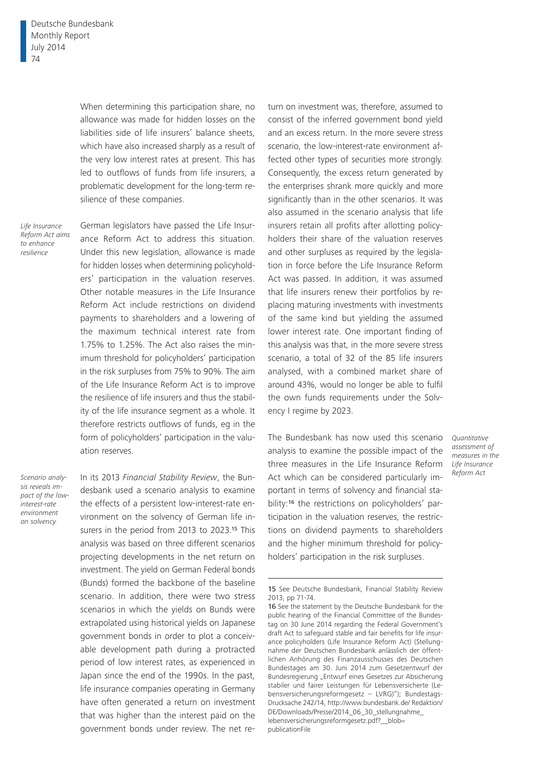When determining this participation share, no allowance was made for hidden losses on the liabilities side of life insurers' balance sheets, which have also increased sharply as a result of the very low interest rates at present. This has led to outflows of funds from life insurers, a problematic development for the long-term resilience of these companies.

*Life Insurance Reform Act aims to enhance resilience*

German legislators have passed the Life Insurance Reform Act to address this situation. Under this new legislation, allowance is made for hidden losses when determining policyholders' participation in the valuation reserves. Other notable measures in the Life Insurance Reform Act include restrictions on dividend payments to shareholders and a lowering of the maximum technical interest rate from 1.75% to 1.25%. The Act also raises the minimum threshold for policyholders' participation in the risk surpluses from 75% to 90%. The aim of the Life Insurance Reform Act is to improve the resilience of life insurers and thus the stability of the life insurance segment as a whole. It therefore restricts outflows of funds, eg in the form of policyholders' participation in the valuation reserves.

*Scenario analysis reveals impact of the lowinterest-rate environment on solvency*

In its 2013 *Financial Stability Review*, the Bundesbank used a scenario analysis to examine the effects of a persistent low-interest-rate environment on the solvency of German life insurers in the period from 2013 to 2023.15 This analysis was based on three different scenarios projecting developments in the net return on investment. The yield on German Federal bonds (Bunds) formed the backbone of the baseline scenario. In addition, there were two stress scenarios in which the yields on Bunds were extrapolated using historical yields on Japanese government bonds in order to plot a conceivable development path during a protracted period of low interest rates, as experienced in Japan since the end of the 1990s. In the past, life insurance companies operating in Germany have often generated a return on investment that was higher than the interest paid on the government bonds under review. The net return on investment was, therefore, assumed to consist of the inferred government bond yield and an excess return. In the more severe stress scenario, the low-interest-rate environment affected other types of securities more strongly. Consequently, the excess return generated by the enterprises shrank more quickly and more significantly than in the other scenarios. It was also assumed in the scenario analysis that life insurers retain all profits after allotting policyholders their share of the valuation reserves and other surpluses as required by the legislation in force before the Life Insurance Reform Act was passed. In addition, it was assumed that life insurers renew their portfolios by replacing maturing investments with investments of the same kind but yielding the assumed lower interest rate. One important finding of this analysis was that, in the more severe stress scenario, a total of 32 of the 85 life insurers analysed, with a combined market share of around 43%, would no longer be able to fulfil the own funds requirements under the Solvency I regime by 2023.

The Bundesbank has now used this scenario analysis to examine the possible impact of the three measures in the Life Insurance Reform Act which can be considered particularly important in terms of solvency and financial stability:<sup>16</sup> the restrictions on policyholders' participation in the valuation reserves, the restrictions on dividend payments to shareholders and the higher minimum threshold for policyholders' participation in the risk surpluses.

*Quantitative assessment of measures in the Life Insurance Reform Act*

<sup>15</sup> See Deutsche Bundesbank, Financial Stability Review 2013, pp 71-74.

<sup>16</sup> See the statement by the Deutsche Bundesbank for the public hearing of the Financial Committee of the Bundestag on 30 June 2014 regarding the Federal Government's draft Act to safeguard stable and fair benefits for life insurance policyholders (Life Insurance Reform Act) (Stellungnahme der Deutschen Bundesbank anlässlich der öffentlichen Anhörung des Finanzausschusses des Deutschen Bundestages am 30. Juni 2014 zum Gesetzentwurf der Bundesregierung "Entwurf eines Gesetzes zur Absicherung stabiler und fairer Leistungen für Lebensversicherte (Lebensversicherungsreformgesetz – LVRG)"); Bundestags-[Drucksache 242/14, http://www.bundesbank.de/ Redaktion/](http://www.bundesbank.de/ Redaktion/DE/Downloads/Presse/ 2014_06_30_stellungnahme_lebensversicherungsreformgesetz.pdf?__blob=publicationFile) DE/Downloads/Presse/2014\_06\_30\_stellungnahme\_ lebensversicherungsreformgesetz.pdf?\_\_blob= publicationFile